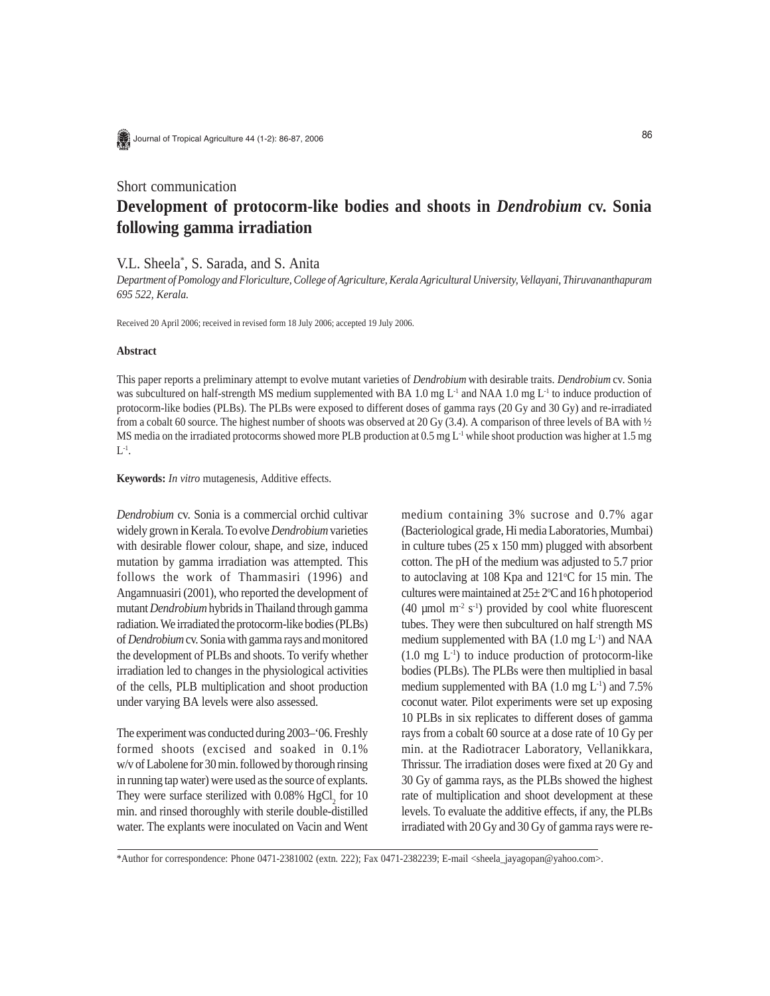

Journal of Tropical Agriculture 44 (1-2): 86-87, 2006

# Short communication **Development of protocorm-like bodies and shoots in** *Dendrobium* **cv. Sonia following gamma irradiation**

V.L. Sheela\* , S. Sarada, and S. Anita

*Department of Pomology and Floriculture, College of Agriculture, Kerala Agricultural University, Vellayani, Thiruvananthapuram 695 522, Kerala.*

Received 20 April 2006; received in revised form 18 July 2006; accepted 19 July 2006.

## **Abstract**

This paper reports a preliminary attempt to evolve mutant varieties of *Dendrobium* with desirable traits. *Dendrobium* cv. Sonia was subcultured on half-strength MS medium supplemented with BA 1.0 mg L<sup>-1</sup> and NAA 1.0 mg L<sup>-1</sup> to induce production of protocorm-like bodies (PLBs). The PLBs were exposed to different doses of gamma rays (20 Gy and 30 Gy) and re-irradiated from a cobalt 60 source. The highest number of shoots was observed at 20 Gy (3.4). A comparison of three levels of BA with  $\frac{1}{2}$ MS media on the irradiated protocorms showed more PLB production at 0.5 mg L<sup>-1</sup> while shoot production was higher at 1.5 mg  $L^{-1}$ .

**Keywords:** *In vitro* mutagenesis, Additive effects.

*Dendrobium* cv. Sonia is a commercial orchid cultivar widely grown in Kerala. To evolve *Dendrobium* varieties with desirable flower colour, shape, and size, induced mutation by gamma irradiation was attempted. This follows the work of Thammasiri (1996) and Angamnuasiri (2001), who reported the development of mutant *Dendrobium* hybrids in Thailand through gamma radiation. We irradiated the protocorm-like bodies (PLBs) of *Dendrobium* cv. Sonia with gamma rays and monitored the development of PLBs and shoots. To verify whether irradiation led to changes in the physiological activities of the cells, PLB multiplication and shoot production under varying BA levels were also assessed.

The experiment was conducted during 2003–'06. Freshly formed shoots (excised and soaked in 0.1% w/v of Labolene for 30 min. followed by thorough rinsing in running tap water) were used as the source of explants. They were surface sterilized with  $0.08\%$  HgCl<sub>2</sub> for 10 min. and rinsed thoroughly with sterile double-distilled water. The explants were inoculated on Vacin and Went medium containing 3% sucrose and 0.7% agar (Bacteriological grade, Hi media Laboratories, Mumbai) in culture tubes (25 x 150 mm) plugged with absorbent cotton. The pH of the medium was adjusted to 5.7 prior to autoclaving at  $108$  Kpa and  $121^{\circ}$ C for 15 min. The cultures were maintained at  $25 \pm 2$ °C and 16 h photoperiod (40  $\mu$ mol m<sup>-2</sup> s<sup>-1</sup>) provided by cool white fluorescent tubes. They were then subcultured on half strength MS medium supplemented with BA  $(1.0 \text{ mg } L^{-1})$  and NAA  $(1.0 \text{ mg } L^{-1})$  to induce production of protocorm-like bodies (PLBs). The PLBs were then multiplied in basal medium supplemented with BA  $(1.0 \text{ mg } L^{-1})$  and  $7.5\%$ coconut water. Pilot experiments were set up exposing 10 PLBs in six replicates to different doses of gamma rays from a cobalt 60 source at a dose rate of 10 Gy per min. at the Radiotracer Laboratory, Vellanikkara, Thrissur. The irradiation doses were fixed at 20 Gy and 30 Gy of gamma rays, as the PLBs showed the highest rate of multiplication and shoot development at these levels. To evaluate the additive effects, if any, the PLBs irradiated with 20 Gy and 30 Gy of gamma rays were re-

\*Author for correspondence: Phone 0471-2381002 (extn. 222); Fax 0471-2382239; E-mail <sheela\_jayagopan@yahoo.com>.